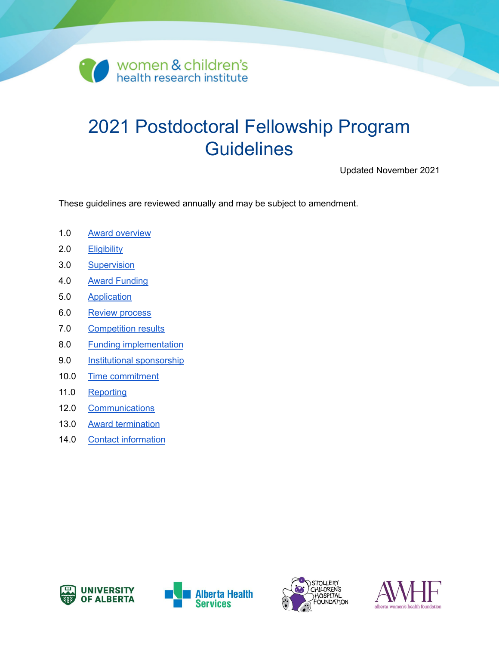

# 2021 Postdoctoral Fellowship Program **Guidelines**

Updated November 2021

These guidelines are reviewed annually and may be subject to amendment.

- 1.0 Award [overview](#page-1-0)
- 2.0 **[Eligibility](#page-1-1)**
- 3.0 [Supervision](#page-2-0)
- 4.0 Award [Funding](#page-2-1)
- 5.0 [Application](#page-4-0)
- 6.0 Review [process](#page-5-0)
- 7.0 [Competition](#page-5-1) results
- 8.0 Funding [implementation](#page-5-2)
- 9.0 Institutional [sponsorship](#page-6-0)
- 10.0 Time [commitment](#page-6-1)
- 11.0 [Reporting](#page-7-0)
- 12.0 [Communications](#page-8-0)
- 13.0 Award [termination](#page-8-1)
- 14.0 Contact [information](#page-9-0)







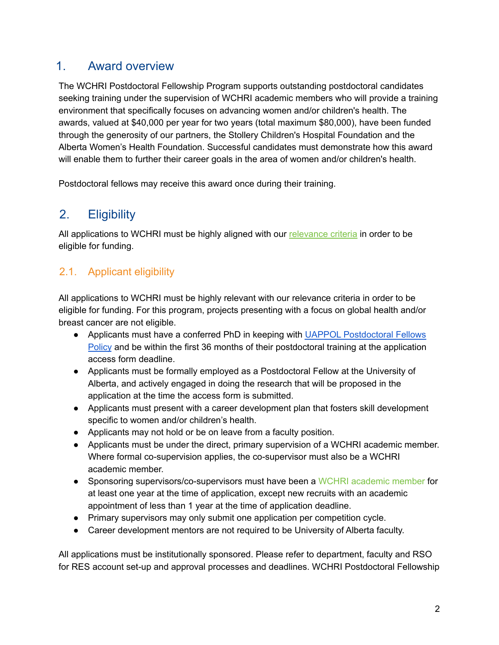## <span id="page-1-0"></span>1. Award overview

The WCHRI Postdoctoral Fellowship Program supports outstanding postdoctoral candidates seeking training under the supervision of WCHRI academic members who will provide a training environment that specifically focuses on advancing women and/or children's health. The awards, valued at \$40,000 per year for two years (total maximum \$80,000), have been funded through the generosity of our partners, the Stollery Children's Hospital Foundation and the Alberta Women's Health Foundation. Successful candidates must demonstrate how this award will enable them to further their career goals in the area of women and/or children's health.

<span id="page-1-1"></span>Postdoctoral fellows may receive this award once during their training.

# 2. Eligibility

All applications to WCHRI must be highly aligned with our [relevance](https://www.wchri.org/members-and-trainees/guidelines-and-policies/application-relevance-criteria) criteria in order to be eligible for funding.

## 2.1. Applicant eligibility

All applications to WCHRI must be highly relevant with our relevance criteria in order to be eligible for funding. For this program, projects presenting with a focus on global health and/or breast cancer are not eligible.

- Applicants must have a conferred PhD in keeping with UAPPOL [Postdoctoral](https://policiesonline.ualberta.ca/policiesprocedures/policies/postdoctoral-fellows-policy.pdf) Fellows [Policy](https://policiesonline.ualberta.ca/policiesprocedures/policies/postdoctoral-fellows-policy.pdf) and be within the first 36 months of their postdoctoral training at the application access form deadline.
- Applicants must be formally employed as a Postdoctoral Fellow at the University of Alberta, and actively engaged in doing the research that will be proposed in the application at the time the access form is submitted.
- Applicants must present with a career development plan that fosters skill development specific to women and/or children's health.
- Applicants may not hold or be on leave from a faculty position.
- Applicants must be under the direct, primary supervision of a WCHRI academic member. Where formal co-supervision applies, the co-supervisor must also be a WCHRI academic member.
- Sponsoring supervisors/co-supervisors must have been a WCHRI academic member for at least one year at the time of application, except new recruits with an academic appointment of less than 1 year at the time of application deadline.
- Primary supervisors may only submit one application per competition cycle.
- Career development mentors are not required to be University of Alberta faculty.

All applications must be institutionally sponsored. Please refer to department, faculty and RSO for RES account set-up and approval processes and deadlines. WCHRI Postdoctoral Fellowship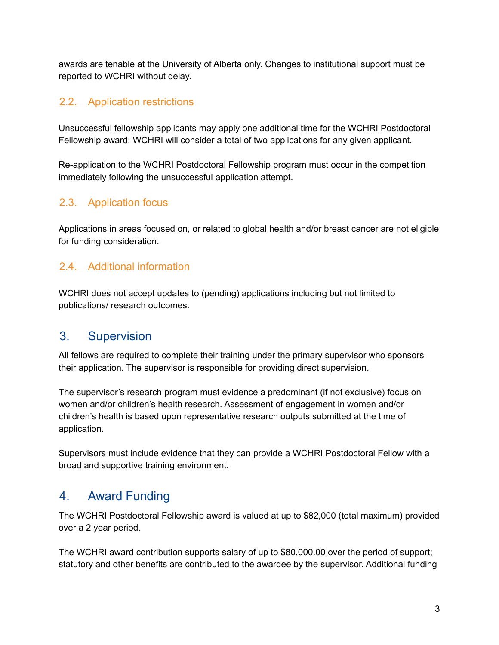awards are tenable at the University of Alberta only. Changes to institutional support must be reported to WCHRI without delay.

### 2.2. Application restrictions

Unsuccessful fellowship applicants may apply one additional time for the WCHRI Postdoctoral Fellowship award; WCHRI will consider a total of two applications for any given applicant.

Re-application to the WCHRI Postdoctoral Fellowship program must occur in the competition immediately following the unsuccessful application attempt.

### 2.3. Application focus

Applications in areas focused on, or related to global health and/or breast cancer are not eligible for funding consideration.

### 2.4. Additional information

WCHRI does not accept updates to (pending) applications including but not limited to publications/ research outcomes.

# <span id="page-2-0"></span>3. Supervision

All fellows are required to complete their training under the primary supervisor who sponsors their application. The supervisor is responsible for providing direct supervision.

The supervisor's research program must evidence a predominant (if not exclusive) focus on women and/or children's health research. Assessment of engagement in women and/or children's health is based upon representative research outputs submitted at the time of application.

Supervisors must include evidence that they can provide a WCHRI Postdoctoral Fellow with a broad and supportive training environment.

# <span id="page-2-1"></span>4. Award Funding

The WCHRI Postdoctoral Fellowship award is valued at up to \$82,000 (total maximum) provided over a 2 year period.

The WCHRI award contribution supports salary of up to \$80,000.00 over the period of support; statutory and other benefits are contributed to the awardee by the supervisor. Additional funding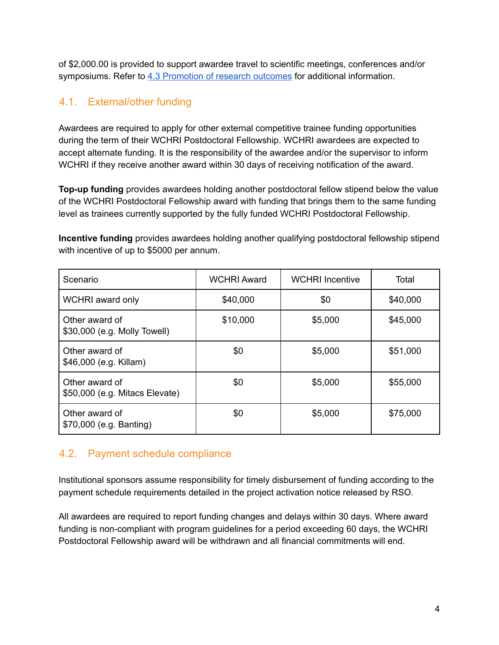of \$2,000.00 is provided to support awardee travel to scientific meetings, conferences and/or symposiums. Refer to 4.3 [Promotion](#page-4-1) of research outcomes for additional information.

### 4.1. External/other funding

Awardees are required to apply for other external competitive trainee funding opportunities during the term of their WCHRI Postdoctoral Fellowship. WCHRI awardees are expected to accept alternate funding. It is the responsibility of the awardee and/or the supervisor to inform WCHRI if they receive another award within 30 days of receiving notification of the award.

**Top-up funding** provides awardees holding another postdoctoral fellow stipend below the value of the WCHRI Postdoctoral Fellowship award with funding that brings them to the same funding level as trainees currently supported by the fully funded WCHRI Postdoctoral Fellowship.

**Incentive funding** provides awardees holding another qualifying postdoctoral fellowship stipend with incentive of up to \$5000 per annum.

| Scenario                                         | <b>WCHRI Award</b> | <b>WCHRI</b> Incentive | Total    |
|--------------------------------------------------|--------------------|------------------------|----------|
| WCHRI award only                                 | \$40,000           | \$0                    | \$40,000 |
| Other award of<br>\$30,000 (e.g. Molly Towell)   | \$10,000           | \$5,000                | \$45,000 |
| Other award of<br>\$46,000 (e.g. Killam)         | \$0                | \$5,000                | \$51,000 |
| Other award of<br>\$50,000 (e.g. Mitacs Elevate) | \$0                | \$5,000                | \$55,000 |
| Other award of<br>\$70,000 (e.g. Banting)        | \$0                | \$5,000                | \$75,000 |

### 4.2. Payment schedule compliance

Institutional sponsors assume responsibility for timely disbursement of funding according to the payment schedule requirements detailed in the project activation notice released by RSO.

All awardees are required to report funding changes and delays within 30 days. Where award funding is non-compliant with program guidelines for a period exceeding 60 days, the WCHRI Postdoctoral Fellowship award will be withdrawn and all financial commitments will end.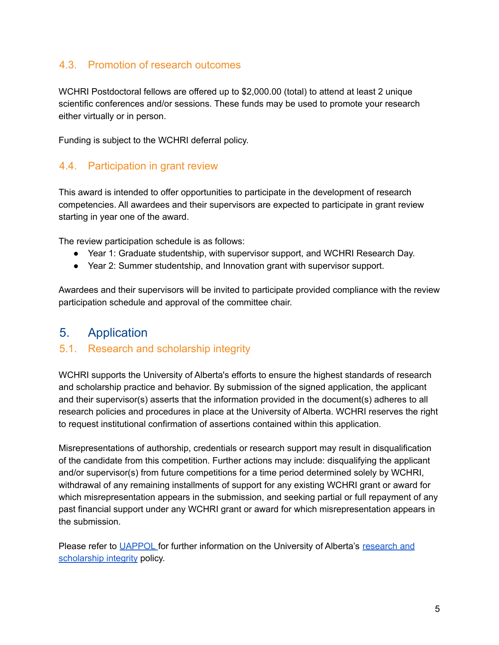### <span id="page-4-1"></span>4.3. Promotion of research outcomes

WCHRI Postdoctoral fellows are offered up to \$2,000.00 (total) to attend at least 2 unique scientific conferences and/or sessions. These funds may be used to promote your research either virtually or in person.

Funding is subject to the WCHRI deferral policy.

#### 4.4. Participation in grant review

This award is intended to offer opportunities to participate in the development of research competencies. All awardees and their supervisors are expected to participate in grant review starting in year one of the award.

The review participation schedule is as follows:

- Year 1: Graduate studentship, with supervisor support, and WCHRI Research Day.
- Year 2: Summer studentship, and Innovation grant with supervisor support.

Awardees and their supervisors will be invited to participate provided compliance with the review participation schedule and approval of the committee chair.

### <span id="page-4-0"></span>5. Application

#### 5.1. Research and scholarship integrity

WCHRI supports the University of Alberta's efforts to ensure the highest standards of research and scholarship practice and behavior. By submission of the signed application, the applicant and their supervisor(s) asserts that the information provided in the document(s) adheres to all research policies and procedures in place at the University of Alberta. WCHRI reserves the right to request institutional confirmation of assertions contained within this application.

Misrepresentations of authorship, credentials or research support may result in disqualification of the candidate from this competition. Further actions may include: disqualifying the applicant and/or supervisor(s) from future competitions for a time period determined solely by WCHRI, withdrawal of any remaining installments of support for any existing WCHRI grant or award for which misrepresentation appears in the submission, and seeking partial or full repayment of any past financial support under any WCHRI grant or award for which misrepresentation appears in the submission.

Please refer to [UAPPOL](https://policiesonline.ualberta.ca/Pages/default.aspx) for further information on the University of Alberta's [research](https://policiesonline.ualberta.ca/PoliciesProcedures/Pages/DispPol.aspx?PID=70) and [scholarship](https://policiesonline.ualberta.ca/PoliciesProcedures/Pages/DispPol.aspx?PID=70) integrity policy.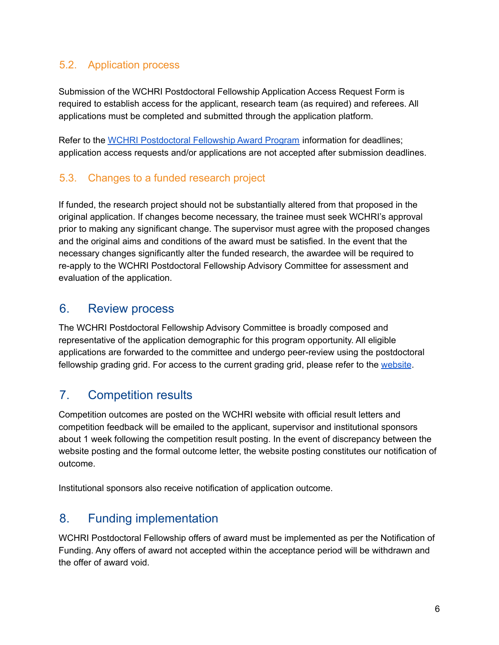### 5.2. Application process

Submission of the WCHRI Postdoctoral Fellowship Application Access Request Form is required to establish access for the applicant, research team (as required) and referees. All applications must be completed and submitted through the application platform.

Refer to the WCHRI [Postdoctoral](https://www.wchri.org/members-and-trainees/grants-and-awards/postdoctoral-fellowship-award-program/) Fellowship Award Program information for deadlines; application access requests and/or applications are not accepted after submission deadlines.

### 5.3. Changes to a funded research project

If funded, the research project should not be substantially altered from that proposed in the original application. If changes become necessary, the trainee must seek WCHRI's approval prior to making any significant change. The supervisor must agree with the proposed changes and the original aims and conditions of the award must be satisfied. In the event that the necessary changes significantly alter the funded research, the awardee will be required to re-apply to the WCHRI Postdoctoral Fellowship Advisory Committee for assessment and evaluation of the application.

### <span id="page-5-0"></span>6. Review process

The WCHRI Postdoctoral Fellowship Advisory Committee is broadly composed and representative of the application demographic for this program opportunity. All eligible applications are forwarded to the committee and undergo peer-review using the postdoctoral fellowship grading grid. For access to the current grading grid, please refer to the [website](https://www.wchri.org/members-and-trainees/grants-and-awards/postdoctoral-fellowship-award-program).

# <span id="page-5-1"></span>7. Competition results

Competition outcomes are posted on the WCHRI website with official result letters and competition feedback will be emailed to the applicant, supervisor and institutional sponsors about 1 week following the competition result posting. In the event of discrepancy between the website posting and the formal outcome letter, the website posting constitutes our notification of outcome.

<span id="page-5-2"></span>Institutional sponsors also receive notification of application outcome.

# 8. Funding implementation

WCHRI Postdoctoral Fellowship offers of award must be implemented as per the Notification of Funding. Any offers of award not accepted within the acceptance period will be withdrawn and the offer of award void.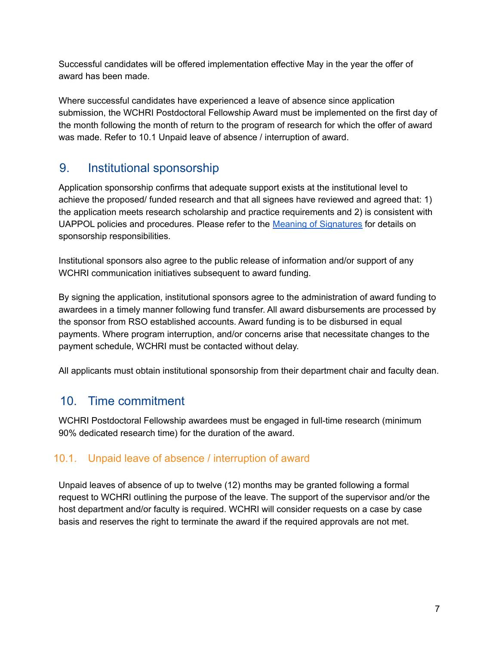Successful candidates will be offered implementation effective May in the year the offer of award has been made.

Where successful candidates have experienced a leave of absence since application submission, the WCHRI Postdoctoral Fellowship Award must be implemented on the first day of the month following the month of return to the program of research for which the offer of award was made. Refer to 10.1 Unpaid leave of absence / interruption of award.

# <span id="page-6-0"></span>9. Institutional sponsorship

Application sponsorship confirms that adequate support exists at the institutional level to achieve the proposed/ funded research and that all signees have reviewed and agreed that: 1) the application meets research scholarship and practice requirements and 2) is consistent with UAPPOL policies and procedures. Please refer to the Meaning of [Signatures](https://www.ualberta.ca/research-services-office/proposal-submission/approval-signature-requirements/meaning-of-signatures.html) for details on sponsorship responsibilities.

Institutional sponsors also agree to the public release of information and/or support of any WCHRI communication initiatives subsequent to award funding.

By signing the application, institutional sponsors agree to the administration of award funding to awardees in a timely manner following fund transfer. All award disbursements are processed by the sponsor from RSO established accounts. Award funding is to be disbursed in equal payments. Where program interruption, and/or concerns arise that necessitate changes to the payment schedule, WCHRI must be contacted without delay.

<span id="page-6-1"></span>All applicants must obtain institutional sponsorship from their department chair and faculty dean.

# 10. Time commitment

WCHRI Postdoctoral Fellowship awardees must be engaged in full-time research (minimum 90% dedicated research time) for the duration of the award.

#### 10.1. Unpaid leave of absence / interruption of award

Unpaid leaves of absence of up to twelve (12) months may be granted following a formal request to WCHRI outlining the purpose of the leave. The support of the supervisor and/or the host department and/or faculty is required. WCHRI will consider requests on a case by case basis and reserves the right to terminate the award if the required approvals are not met.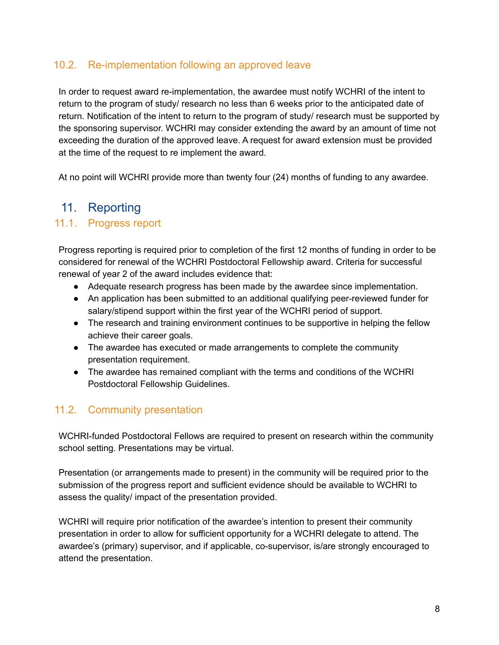### 10.2. Re-implementation following an approved leave

In order to request award re-implementation, the awardee must notify WCHRI of the intent to return to the program of study/ research no less than 6 weeks prior to the anticipated date of return. Notification of the intent to return to the program of study/ research must be supported by the sponsoring supervisor. WCHRI may consider extending the award by an amount of time not exceeding the duration of the approved leave. A request for award extension must be provided at the time of the request to re implement the award.

<span id="page-7-0"></span>At no point will WCHRI provide more than twenty four (24) months of funding to any awardee.

### 11. Reporting

#### 11.1. Progress report

Progress reporting is required prior to completion of the first 12 months of funding in order to be considered for renewal of the WCHRI Postdoctoral Fellowship award. Criteria for successful renewal of year 2 of the award includes evidence that:

- Adequate research progress has been made by the awardee since implementation.
- An application has been submitted to an additional qualifying peer-reviewed funder for salary/stipend support within the first year of the WCHRI period of support.
- The research and training environment continues to be supportive in helping the fellow achieve their career goals.
- The awardee has executed or made arrangements to complete the community presentation requirement.
- The awardee has remained compliant with the terms and conditions of the WCHRI Postdoctoral Fellowship Guidelines.

#### 11.2. Community presentation

WCHRI-funded Postdoctoral Fellows are required to present on research within the community school setting. Presentations may be virtual.

Presentation (or arrangements made to present) in the community will be required prior to the submission of the progress report and sufficient evidence should be available to WCHRI to assess the quality/ impact of the presentation provided.

WCHRI will require prior notification of the awardee's intention to present their community presentation in order to allow for sufficient opportunity for a WCHRI delegate to attend. The awardee's (primary) supervisor, and if applicable, co-supervisor, is/are strongly encouraged to attend the presentation.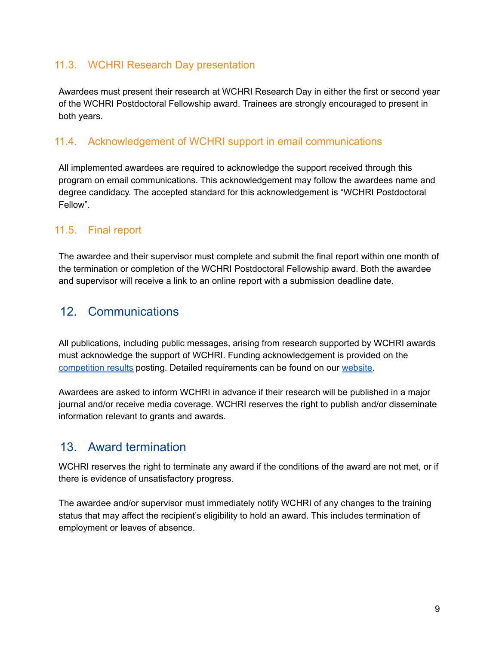### 11.3. WCHRI Research Day presentation

Awardees must present their research at WCHRI Research Day in either the first or second year of the WCHRI Postdoctoral Fellowship award. Trainees are strongly encouraged to present in both years.

#### 11.4. Acknowledgement of WCHRI support in email communications

All implemented awardees are required to acknowledge the support received through this program on email communications. This acknowledgement may follow the awardees name and degree candidacy. The accepted standard for this acknowledgement is "WCHRI Postdoctoral Fellow".

#### 11.5. Final report

The awardee and their supervisor must complete and submit the final report within one month of the termination or completion of the WCHRI Postdoctoral Fellowship award. Both the awardee and supervisor will receive a link to an online report with a submission deadline date.

### <span id="page-8-0"></span>12. Communications

All publications, including public messages, arising from research supported by WCHRI awards must acknowledge the support of WCHRI. Funding acknowledgement is provided on the [competition](https://www.wchri.org/members-and-trainees/competition-information/competition-results/) results posting. Detailed requirements can be found on our [website.](https://www.wchri.org/members-and-trainees/guidelines-and-policies/acknowledgement-and-logos)

Awardees are asked to inform WCHRI in advance if their research will be published in a major journal and/or receive media coverage. WCHRI reserves the right to publish and/or disseminate information relevant to grants and awards.

### <span id="page-8-1"></span>13. Award termination

WCHRI reserves the right to terminate any award if the conditions of the award are not met, or if there is evidence of unsatisfactory progress.

The awardee and/or supervisor must immediately notify WCHRI of any changes to the training status that may affect the recipient's eligibility to hold an award. This includes termination of employment or leaves of absence.